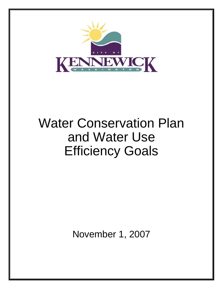

# Water Conservation Plan and Water Use Efficiency Goals

November 1, 2007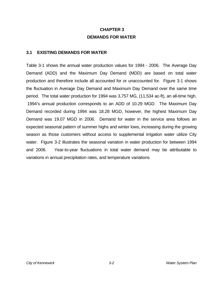# **CHAPTER 3 DEMANDS FOR WATER**

#### **3.1 EXISTING DEMANDS FOR WATER**

Table 3-1 shows the annual water production values for 1994 - 2006. The Average Day Demand (ADD) and the Maximum Day Demand (MDD) are based on total water production and therefore include all accounted for or unaccounted for. Figure 3-1 shows the fluctuation in Average Day Demand and Maximum Day Demand over the same time period. The total water production for 1994 was 3,757 MG, (11,534 ac-ft), an all-time high. 1994's annual production corresponds to an ADD of 10.29 MGD. The Maximum Day Demand recorded during 1994 was 18.28 MGD, however, the highest Maximum Day Demand was 19.07 MGD in 2006. Demand for water in the service area follows an expected seasonal pattern of summer highs and winter lows, increasing during the growing season as those customers without access to supplemental irrigation water utilize City water. Figure 3-2 illustrates the seasonal variation in water production for between 1994 and 2006. Year-to-year fluctuations in total water demand may be attributable to variations in annual precipitation rates, and temperature variations.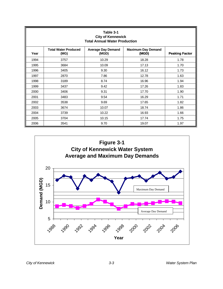|      | Table 3-1<br><b>City of Kennewick</b><br><b>Total Annual Water Production</b>                                   |       |       |      |  |  |  |  |  |  |  |  |
|------|-----------------------------------------------------------------------------------------------------------------|-------|-------|------|--|--|--|--|--|--|--|--|
| Year | <b>Total Water Produced</b><br><b>Average Day Demand</b><br><b>Maximum Day Demand</b><br>(MGD)<br>(MG)<br>(MGD) |       |       |      |  |  |  |  |  |  |  |  |
| 1994 | 3757                                                                                                            | 10.29 | 18.28 | 1.78 |  |  |  |  |  |  |  |  |
| 1995 | 3684                                                                                                            | 10.09 | 17.13 | 1.70 |  |  |  |  |  |  |  |  |
| 1996 | 3405                                                                                                            | 9.30  | 16.12 | 1.73 |  |  |  |  |  |  |  |  |
| 1997 | 2870                                                                                                            | 7.86  | 12.78 | 1.63 |  |  |  |  |  |  |  |  |
| 1998 | 3189                                                                                                            | 8.74  | 16.96 | 1.94 |  |  |  |  |  |  |  |  |
| 1999 | 3437                                                                                                            | 9.42  | 17.26 | 1.83 |  |  |  |  |  |  |  |  |
| 2000 | 3406                                                                                                            | 9.31  | 17.70 | 1.90 |  |  |  |  |  |  |  |  |
| 2001 | 3483                                                                                                            | 9.54  | 16.29 | 1.71 |  |  |  |  |  |  |  |  |
| 2002 | 3538                                                                                                            | 9.69  | 17.65 | 1.82 |  |  |  |  |  |  |  |  |
| 2003 | 3674                                                                                                            | 10.07 | 18.74 | 1.86 |  |  |  |  |  |  |  |  |
| 2004 | 3739                                                                                                            | 10.22 | 16.93 | 1.66 |  |  |  |  |  |  |  |  |
| 2005 | 3704                                                                                                            | 10.15 | 17.74 | 1.75 |  |  |  |  |  |  |  |  |
| 2006 | 3541                                                                                                            | 9.70  | 19.07 | 1.97 |  |  |  |  |  |  |  |  |

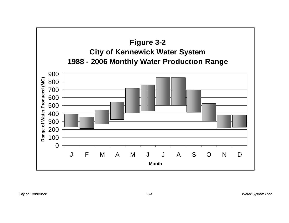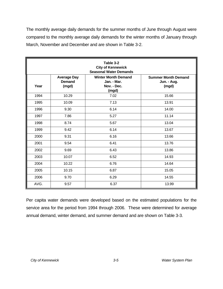The monthly average daily demands for the summer months of June through August were compared to the monthly average daily demands for the winter months of January through March, November and December and are shown in Table 3-2.

|      |                                              | Table 3-2<br><b>City of Kennewick</b><br><b>Seasonal Water Demands</b> |                                                    |
|------|----------------------------------------------|------------------------------------------------------------------------|----------------------------------------------------|
| Year | <b>Average Day</b><br><b>Demand</b><br>(mgd) | <b>Winter Month Demand</b><br>Jan. - Mar.<br>Nov. - Dec.<br>(mgd)      | <b>Summer Month Demand</b><br>Jun. - Aug.<br>(mgd) |
| 1994 | 10.29                                        | 7.02                                                                   | 15.66                                              |
| 1995 | 10.09                                        | 7.13                                                                   | 13.91                                              |
| 1996 | 9.30                                         | 6.14                                                                   | 14.00                                              |
| 1997 | 7.86                                         | 5.27                                                                   | 11.14                                              |
| 1998 | 8.74                                         | 5.67                                                                   | 13.04                                              |
| 1999 | 9.42                                         | 6.14                                                                   | 13.67                                              |
| 2000 | 9.31                                         | 6.16                                                                   | 13.66                                              |
| 2001 | 9.54                                         | 6.41                                                                   | 13.76                                              |
| 2002 | 9.69                                         | 6.43                                                                   | 13.86                                              |
| 2003 | 10.07                                        | 6.52                                                                   | 14.93                                              |
| 2004 | 10.22                                        | 6.76                                                                   | 14.64                                              |
| 2005 | 10.15                                        | 6.87                                                                   | 15.05                                              |
| 2006 | 9.70                                         | 6.29                                                                   | 14.55                                              |
| AVG. | 9.57                                         | 6.37                                                                   | 13.99                                              |

Per capita water demands were developed based on the estimated populations for the service area for the period from 1994 through 2006. These were determined for average annual demand, winter demand, and summer demand and are shown on Table 3-3.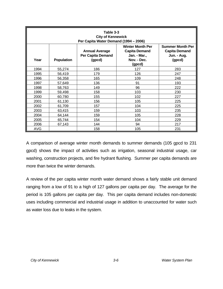|            | Table 3-3<br><b>City of Kennewick</b><br>Per Capita Water Demand (1994 - 2006) |                                                      |                                                                                          |                                                                          |  |  |  |  |  |  |  |  |
|------------|--------------------------------------------------------------------------------|------------------------------------------------------|------------------------------------------------------------------------------------------|--------------------------------------------------------------------------|--|--|--|--|--|--|--|--|
| Year       | <b>Population</b>                                                              | <b>Annual Average</b><br>Per Capita Demand<br>(gpcd) | <b>Winter Month Per</b><br><b>Capita Demand</b><br>Jan. - Mar.,<br>Nov. - Dec.<br>(gpcd) | <b>Summer Month Per</b><br><b>Capita Demand</b><br>Jun. - Aug.<br>(gpcd) |  |  |  |  |  |  |  |  |
| 1994       | 55,274                                                                         | 186                                                  | 127                                                                                      | 283                                                                      |  |  |  |  |  |  |  |  |
| 1995       | 56,419                                                                         | 179                                                  | 126                                                                                      | 247                                                                      |  |  |  |  |  |  |  |  |
| 1996       | 56,358                                                                         | 165                                                  | 109                                                                                      | 248                                                                      |  |  |  |  |  |  |  |  |
| 1997       | 57,649                                                                         | 136                                                  | 91                                                                                       | 193                                                                      |  |  |  |  |  |  |  |  |
| 1998       | 58,763                                                                         | 149                                                  | 96                                                                                       | 222                                                                      |  |  |  |  |  |  |  |  |
| 1999       | 59,498                                                                         | 158                                                  | 103                                                                                      | 230                                                                      |  |  |  |  |  |  |  |  |
| 2000       | 60,780                                                                         | 155                                                  | 102                                                                                      | 227                                                                      |  |  |  |  |  |  |  |  |
| 2001       | 61,130                                                                         | 156                                                  | 105                                                                                      | 225                                                                      |  |  |  |  |  |  |  |  |
| 2002       | 61,709                                                                         | 157                                                  | 104                                                                                      | 225                                                                      |  |  |  |  |  |  |  |  |
| 2003       | 63,415                                                                         | 159                                                  | 103                                                                                      | 235                                                                      |  |  |  |  |  |  |  |  |
| 2004       | 64,144                                                                         | 159                                                  | 105                                                                                      | 228                                                                      |  |  |  |  |  |  |  |  |
| 2005       | 65,744                                                                         | 154                                                  | 104                                                                                      | 229                                                                      |  |  |  |  |  |  |  |  |
| 2006       | 67,143                                                                         | 144                                                  | 94                                                                                       | 217                                                                      |  |  |  |  |  |  |  |  |
| <b>AVG</b> |                                                                                | 158                                                  | 105                                                                                      | 231                                                                      |  |  |  |  |  |  |  |  |

A comparison of average winter month demands to summer demands (105 gpcd to 231 gpcd) shows the impact of activities such as irrigation, seasonal industrial usage, car washing, construction projects, and fire hydrant flushing. Summer per capita demands are more than twice the winter demands.

A review of the per capita winter month water demand shows a fairly stable unit demand ranging from a low of 91 to a high of 127 gallons per capita per day. The average for the period is 105 gallons per capita per day. This per capita demand includes non-domestic uses including commercial and industrial usage in addition to unaccounted for water such as water loss due to leaks in the system.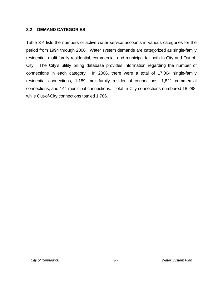#### **3.2 DEMAND CATEGORIES**

Table 3-4 lists the numbers of active water service accounts in various categories for the period from 1994 through 2006. Water system demands are categorized as single-family residential, multi-family residential, commercial, and municipal for both In-City and Out-of-City. The City's utility billing database provides information regarding the number of connections in each category. In 2006, there were a total of 17,064 single-family residential connections, 1,189 multi-family residential connections, 1,821 commercial connections, and 144 municipal connections. Total In-City connections numbered 18,288, while Out-of-City connections totaled 1,786.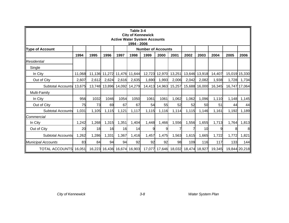|                           | Table 3-4<br><b>City of Kennewick</b><br><b>Active Water System Accounts</b><br>1994 - 2006 |       |                      |       |                             |                           |               |               |        |               |        |       |               |  |
|---------------------------|---------------------------------------------------------------------------------------------|-------|----------------------|-------|-----------------------------|---------------------------|---------------|---------------|--------|---------------|--------|-------|---------------|--|
| <b>Type of Account</b>    |                                                                                             |       |                      |       |                             | <b>Number of Accounts</b> |               |               |        |               |        |       |               |  |
|                           | 1994                                                                                        | 1995  | 1996                 | 1997  | 1998                        | 1999                      | 2000          | 2001          | 2002   | 2003          | 2004   | 2005  | 2006          |  |
| <b>Residential</b>        |                                                                                             |       |                      |       |                             |                           |               |               |        |               |        |       |               |  |
| Single                    |                                                                                             |       |                      |       |                             |                           |               |               |        |               |        |       |               |  |
| In City                   | 11,068                                                                                      |       | 11,136 11,272 11,476 |       | 11,644                      |                           | 12,723 12,970 | 13,251        | 13,646 | 13,918        | 14,407 |       | 15,019 15,330 |  |
| Out of City               | 2,607                                                                                       | 2,612 | 2,624                | 2,616 | 2,635                       | 1,690                     | 1,993         | 2,006         | 2,042  | 2,082         | 1,938  | 1,728 | 1,734         |  |
| <b>Subtotal Accounts</b>  | 13,675                                                                                      |       | 13,748 13,896 14,092 |       | 14,279                      |                           | 14,413 14,963 | 15,257        | 15,688 | 16,000        | 16,345 |       | 16,747 17,064 |  |
| Multi-Family              |                                                                                             |       |                      |       |                             |                           |               |               |        |               |        |       |               |  |
| In City                   | 956                                                                                         | 1032  | 1046                 | 1054  | 1050                        | 1061                      | 1061          | 1,062         | 1,062  | 1,096         | 1,110  | 1,148 | 1,145         |  |
| Out of City               | 75                                                                                          | 73    | 69                   | 67    | 67                          | 54                        | 55            | 52            | 52     | 50            | 51     | 44    | 44            |  |
| <b>Subtotal Accounts</b>  | 1,031                                                                                       | 1,105 | 1,115                | 1,121 | 1,117                       | 1,115                     | 1,116         | 1,114         | 1,115  | 1,146         | 1,161  | 1,192 | 1,189         |  |
| Commercial                |                                                                                             |       |                      |       |                             |                           |               |               |        |               |        |       |               |  |
| In City                   | 1,242                                                                                       | 1,268 | 1,315                | 1,351 | 1,404                       | 1,448                     | 1,466         | 1,556         | 1,556  | 1,655         | 1,713  | 1,764 | 1,813         |  |
| Out of City               | 20                                                                                          | 18    | 16                   | 16    | 14                          | 9                         | 9             |               |        | 10            | 9      |       | 8             |  |
| <b>Subtotal Accounts</b>  | 1,262                                                                                       | 1,286 | 1,331                | 1,367 | 1,416                       | 1,457                     | 1,475         | 1,563         | 1,615  | 1,665         | 1,722  | 1,772 | 1,821         |  |
| <b>Municipal Accounts</b> | 83                                                                                          | 84    | 94                   | 94    | 92                          | 92                        | 92            | 98            | 109    | 116           | 117    | 133   | 144           |  |
| <b>TOTAL ACCOUNTS</b>     | 16,051                                                                                      |       |                      |       | 16,223 16,436 16,674 16,903 | 17,077                    |               | 17,646 18,032 |        | 18,474 18,927 | 19,345 |       | 19,844 20,218 |  |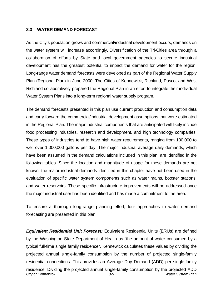#### **3.3 WATER DEMAND FORECAST**

As the City's population grows and commercial/industrial development occurs, demands on the water system will increase accordingly. Diversification of the Tri-Cities area through a collaboration of efforts by State and local government agencies to secure industrial development has the greatest potential to impact the demand for water for the region. Long-range water demand forecasts were developed as part of the Regional Water Supply Plan (Regional Plan) in June 2000. The Cities of Kennewick, Richland, Pasco, and West Richland collaboratively prepared the Regional Plan in an effort to integrate their individual Water System Plans into a long-term regional water supply program.

The demand forecasts presented in this plan use current production and consumption data and carry forward the commercial/industrial development assumptions that were estimated in the Regional Plan. The major industrial components that are anticipated will likely include food processing industries, research and development, and high technology companies. These types of industries tend to have high water requirements, ranging from 100,000 to well over 1,000,000 gallons per day. The major industrial average daily demands, which have been assumed in the demand calculations included in this plan, are identified in the following tables. Since the location and magnitude of usage for these demands are not known, the major industrial demands identified in this chapter have not been used in the evaluation of specific water system components such as water mains, booster stations, and water reservoirs. These specific infrastructure improvements will be addressed once the major industrial user has been identified and has made a commitment to the area.

To ensure a thorough long-range planning effort, four approaches to water demand forecasting are presented in this plan.

*City of Kennewick 3-9 Water System Plan Equivalent Residential Unit Forecast:* Equivalent Residential Units (ERUs) are defined by the Washington State Department of Health as "the amount of water consumed by a typical full-time single family residence". Kennewick calculates these values by dividing the projected annual single-family consumption by the number of projected single-family residential connections. This provides an Average Day Demand (ADD) per single-family residence. Dividing the projected annual single-family consumption by the projected ADD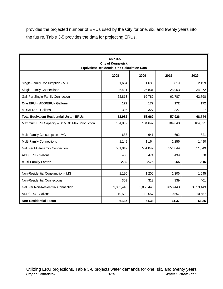provides the projected number of ERUs used by the City for one, six, and twenty years into the future. Table 3-5 provides the data for projecting ERUs.

|                                                  | Table 3-5<br><b>City of Kennewick</b><br><b>Equivalent Residential Unit Calculation Data</b> |           |           |           |
|--------------------------------------------------|----------------------------------------------------------------------------------------------|-----------|-----------|-----------|
|                                                  | 2008                                                                                         | 2009      | 2015      | 2029      |
| Single-Family Consumption - MG                   | 1,664                                                                                        | 1,685     | 1,819     | 2,159     |
| <b>Single-Family Connections</b>                 | 26,491                                                                                       | 26,831    | 28,963    | 34,372    |
| Gal. Per Single-Family Connection                | 62,813                                                                                       | 62,782    | 62,787    | 62,798    |
| One ERU = ADD/ERU - Gallons                      | 172                                                                                          | 172       | 172       | 172       |
| MDD/ERU - Gallons                                | 326                                                                                          | 327       | 327       | 327       |
| <b>Total Equivalent Residential Units - ERUs</b> | 52,982                                                                                       | 53,662    | 57,926    | 68,744    |
| Maximum ERU Capacity - 30 MGD Max. Production    | 104,882                                                                                      | 104,647   | 104,640   | 104,621   |
|                                                  |                                                                                              |           |           |           |
| Multi-Family Consumption - MG                    | 633                                                                                          | 641       | 692       | 821       |
| Multi-Family Connections                         | 1,149                                                                                        | 1,164     | 1,256     | 1,490     |
| Gal. Per Multi-Family Connection                 | 551,049                                                                                      | 551,049   | 551,049   | 551,049   |
| ADD/ERU - Gallons                                | 480                                                                                          | 474       | 439       | 370       |
| <b>Multi-Family Factor</b>                       | 2.80                                                                                         | 2.75      | 2.55      | 2.15      |
|                                                  |                                                                                              |           |           |           |
| Non-Residential Consumption - MG                 | 1,190                                                                                        | 1,206     | 1,306     | 1,545     |
| Non-Residential Connections                      | 309                                                                                          | 313       | 339       | 401       |
| Gal. Per Non-Residential Connection              | 3,853,443                                                                                    | 3,853,443 | 3,853,443 | 3,853,443 |
| ADD/ERU - Gallons                                | 10,529                                                                                       | 10,557    | 10,557    | 10,557    |
| <b>Non-Residential Factor</b>                    | 61.35                                                                                        | 61.38     | 61.37     | 61.36     |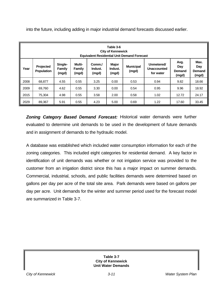|      | Table 3-6<br><b>City of Kennewick</b><br><b>Equivalent Residential Unit Demand Forecast</b> |                            |                                  |                            |                           |                           |                                               |                                |                                |  |  |  |
|------|---------------------------------------------------------------------------------------------|----------------------------|----------------------------------|----------------------------|---------------------------|---------------------------|-----------------------------------------------|--------------------------------|--------------------------------|--|--|--|
| Year | <b>Projected</b><br><b>Population</b>                                                       | Single-<br>Family<br>(mgd) | Multi-<br><b>Family</b><br>(mgd) | Comm./<br>Indust.<br>(mgd) | Major<br>Indust.<br>(mgd) | <b>Municipal</b><br>(mgd) | Unmetered/<br><b>Unaccounted</b><br>for water | Avg.<br>Day<br>Demand<br>(mgd) | Max.<br>Day<br>Demand<br>(mgd) |  |  |  |
| 2008 | 68.877                                                                                      | 4.55                       | 0.55                             | 3.25                       | 0.00                      | 0.53                      | 0.94                                          | 9.82                           | 18.66                          |  |  |  |
| 2009 | 69,760                                                                                      | 4.62                       | 0.55                             | 3.30                       | 0.00                      | 0.54                      | 0.95                                          | 9.96                           | 18.92                          |  |  |  |
| 2015 | 75.304                                                                                      | 4.98                       | 0.55                             | 3.58                       | 2.00                      | 0.58                      | 1.02                                          | 12.72                          | 24.17                          |  |  |  |
| 2029 | 89,367                                                                                      | 5.91                       | 0.55                             | 4.23                       | 5.00                      | 0.69                      | 1.22                                          | 17.60                          | 33.45                          |  |  |  |

into the future, including adding in major industrial demand forecasts discussed earlier.

*Zoning Category Based Demand Forecast:* Historical water demands were further evaluated to determine unit demands to be used in the development of future demands and in assignment of demands to the hydraulic model.

A database was established which included water consumption information for each of the zoning categories. This included eight categories for residential demand. A key factor in identification of unit demands was whether or not irrigation service was provided to the customer from an irrigation district since this has a major impact on summer demands. Commercial, industrial, schools, and public facilities demands were determined based on gallons per day per acre of the total site area. Park demands were based on gallons per day per acre. Unit demands for the winter and summer period used for the forecast model are summarized in Table 3-7.

> **Table 3-7 City of Kennewick Unit Water Demands**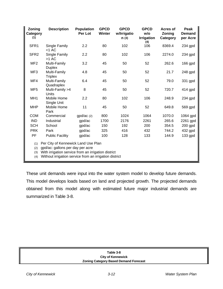| Zoning<br>Category<br>(1) | <b>Description</b>                                                                                                                                                                       | <b>Population</b><br>Per Lot | <b>GPCD</b><br><b>Winter</b> | <b>GPCD</b><br>w/Irrigatio<br>n(3) | <b>GPCD</b><br>w/o<br><b>Irrigation</b><br>(4) | <b>Acres of</b><br>Zoning<br>Category | Peak<br><b>Demand</b><br>per Acre |
|---------------------------|------------------------------------------------------------------------------------------------------------------------------------------------------------------------------------------|------------------------------|------------------------------|------------------------------------|------------------------------------------------|---------------------------------------|-----------------------------------|
| SFR <sub>1</sub>          | Single Family<br>$<$ 1 AC                                                                                                                                                                | 2.2                          | 80                           | 102                                | 106                                            | 8369.4                                | 234 gpd                           |
| SFR <sub>2</sub>          | Single Family<br>$>1$ AC                                                                                                                                                                 | 2.2                          | 80                           | 102                                | 106                                            | 2274.0                                | 234 gpd                           |
| MF <sub>2</sub>           | Multi-Family<br><b>Duplex</b>                                                                                                                                                            | 3.2                          | 45                           | 50                                 | 52                                             | 262.6                                 | 166 gpd                           |
| MF3                       | Multi-Family<br><b>Triplex</b>                                                                                                                                                           | 4.8                          | 45                           | 50                                 | 52                                             | 21.7                                  | 248 gpd                           |
| MF4                       | Multi-Family<br>Quadraplex                                                                                                                                                               | 6.4                          | 45                           | 50                                 | 52                                             | 79.0                                  | 331 gpd                           |
| MF <sub>5</sub>           | Multi-Family >4<br>Units                                                                                                                                                                 | 8                            | 45                           | 50                                 | 52                                             | 720.7                                 | 414 gpd                           |
| MH <sub>1</sub>           | Mobile Home<br>Single Unit                                                                                                                                                               | 2.2                          | 80                           | 102                                | 106                                            | 248.9                                 | 234 gpd                           |
| <b>MHP</b>                | Mobile Home<br>Park                                                                                                                                                                      | 11                           | 45                           | 50                                 | 52                                             | 649.8                                 | 569 gpd                           |
| <b>COM</b>                | Commercial                                                                                                                                                                               | gpd/ac(2)                    | 800                          | 1024                               | 1064                                           | 1070.0                                | 1064 gpd                          |
| <b>IND</b>                | Industrial                                                                                                                                                                               | gpd/ac                       | 1700                         | 2176                               | 2261                                           | 265.6                                 | 2261 gpd                          |
| <b>SCH</b>                | School                                                                                                                                                                                   | gpd/ac                       | 150                          | 192                                | 200                                            | 354.5                                 | 200 gpd                           |
| <b>PRK</b>                | Park                                                                                                                                                                                     | gpd/ac                       | 325                          | 416                                | 432                                            | 744.2                                 | 432 gpd                           |
| PF                        | <b>Public Facility</b>                                                                                                                                                                   | gpd/ac                       | 100                          | 128                                | 133                                            | 144.9                                 | 133 gpd                           |
| (1)<br>(2)<br>(3)<br>(4)  | Per City of Kennewick Land Use Plan<br>gpd/ac: gallons per day per acre<br>With irrigation service from an irrigation district<br>Without irrigation service from an irrigation district |                              |                              |                                    |                                                |                                       |                                   |

These unit demands were input into the water system model to develop future demands. This model develops loads based on land and projected growth. The projected demands obtained from this model along with estimated future major industrial demands are summarized in Table 3-8.

| Table 3-8                                    |  |
|----------------------------------------------|--|
|                                              |  |
| <b>City of Kennewick</b>                     |  |
| <b>Zoning Category Based Demand Forecast</b> |  |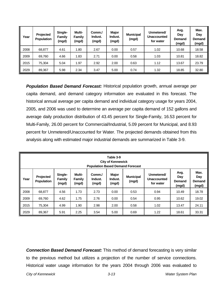| Year | Projected<br><b>Population</b> | Single-<br>Family<br>(mgd) | Multi-<br>Family<br>(mgd) | Comm./<br>Indust.<br>(mgd) | Major<br>Indust.<br>(mgd) | <b>Municipal</b><br>(mgd) | Unmetered/<br><b>Unaccounted</b><br>for water | Avg.<br>Day<br><b>Demand</b><br>(mgd) | Max.<br>Day<br><b>Demand</b><br>(mgd) |
|------|--------------------------------|----------------------------|---------------------------|----------------------------|---------------------------|---------------------------|-----------------------------------------------|---------------------------------------|---------------------------------------|
| 2008 | 68,877                         | 4.61                       | 1.80                      | 2.67                       | 0.00                      | 0.57                      | 1.02                                          | 10.68                                 | 18.58                                 |
| 2009 | 69,760                         | 4.66                       | 1.83                      | 2.71                       | 0.00                      | 0.58                      | 1.03                                          | 10.81                                 | 18.82                                 |
| 2015 | 75,304                         | 5.04                       | 1.97                      | 2.92                       | 2.00                      | 0.63                      | 1.12                                          | 13.67                                 | 23.79                                 |
| 2029 | 89,367                         | 5.98                       | 2.34                      | 3.47                       | 5.00                      | 0.74                      | 1.32                                          | 18.85                                 | 32.80                                 |

*Population Based Demand Forecast:* Historical population growth, annual average per capita demand, and demand category information are evaluated in this forecast. The historical annual average per capita demand and individual category usage for years 2004, 2005, and 2006 was used to determine an average per capita demand of 152 gallons and average daily production distribution of 43.45 percent for Single-Family, 16.53 percent for Multi-Family, 26.00 percent for Commercial/Industrial, 5.09 percent for Municipal, and 8.93 percent for Unmetered/Unaccounted for Water. The projected demands obtained from this analysis along with estimated major industrial demands are summarized in Table 3-9.

|      | Table 3-9<br><b>City of Kennewick</b><br><b>Population Based Demand Forecast</b> |                            |                           |                            |                           |                           |                                               |                                |                                       |  |  |  |  |
|------|----------------------------------------------------------------------------------|----------------------------|---------------------------|----------------------------|---------------------------|---------------------------|-----------------------------------------------|--------------------------------|---------------------------------------|--|--|--|--|
| Year | Projected<br><b>Population</b>                                                   | Single-<br>Family<br>(mgd) | Multi-<br>Family<br>(mgd) | Comm./<br>Indust.<br>(mgd) | Major<br>Indust.<br>(mgd) | <b>Municipal</b><br>(mgd) | Unmetered/<br><b>Unaccounted</b><br>for water | Avg.<br>Day<br>Demand<br>(mgd) | Max.<br>Day<br><b>Demand</b><br>(mgd) |  |  |  |  |
| 2008 | 68,877                                                                           | 4.56                       | 1.73                      | 2.73                       | 0.00                      | 0.53                      | 0.94                                          | 10.49                          | 18.78                                 |  |  |  |  |
| 2009 | 69,760                                                                           | 4.62                       | 1.75                      | 2.76                       | 0.00                      | 0.54                      | 0.95                                          | 10.62                          | 19.02                                 |  |  |  |  |
| 2015 | 75.304                                                                           | 4.99                       | 1.90                      | 2.98                       | 2.00                      | 0.58                      | 1.02                                          | 13.47                          | 24.11                                 |  |  |  |  |
| 2029 | 89,367                                                                           | 5.91                       | 2.25                      | 3.54                       | 5.00                      | 0.69                      | 1.22                                          | 18.61                          | 33.31                                 |  |  |  |  |

*Connection Based Demand Forecast:* This method of demand forecasting is very similar to the previous method but utilizes a projection of the number of service connections. Historical water usage information for the years 2004 through 2006 was evaluated to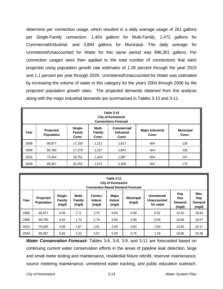determine per connection usage, which resulted in a daily average usage of 261 gallons per Single-Family connection, 1,404 gallons for Multi-Family, 1,472 gallons for Commercial/Industrial, and 3,894 gallons for Municipal. The daily average for Unmetered/Unaccounted for Water for this same period was 896,301 gallons. Per connection usages were then applied to the total number of connections that were projected using population growth rate estimates of 1.28 percent through the year 2015 and 1.1 percent per year through 2029. Unmetered/Unaccounted for Water was estimated by increasing the volume of water in this category for the years 2004 through 2006 by the projected population growth rates. The projected demands obtained from this analysis along with the major industrial demands are summarized in Tables 3-10 and 3-11.

|      | <b>Table 3-10</b><br><b>City of Kennewick</b><br><b>Connections Forecast</b> |                            |                                                  |                                  |                           |     |  |  |  |  |  |  |
|------|------------------------------------------------------------------------------|----------------------------|--------------------------------------------------|----------------------------------|---------------------------|-----|--|--|--|--|--|--|
| Year | Projected<br>Population                                                      | Single-<br>Family<br>Conn. | <b>Commercial/</b><br><b>Industrial</b><br>Conn. | <b>Major Industrial</b><br>Conn. | <b>Municipal</b><br>Conn. |     |  |  |  |  |  |  |
| 2008 | 68,877                                                                       | 17,150                     | 1,211                                            | 1,817                            | N/A                       | 135 |  |  |  |  |  |  |
| 2009 | 69.760                                                                       | 17,370                     | 1,227                                            | 1,841                            | N/A                       | 136 |  |  |  |  |  |  |
| 2015 | 75,304                                                                       | 18,751                     | 1,324                                            | 1,987                            | N/A                       | 147 |  |  |  |  |  |  |
| 2029 | 89,367                                                                       | 22,252                     | 1,571                                            | 2,358                            | N/A                       | 175 |  |  |  |  |  |  |

|      | Table 3-11<br><b>City of Kennewick</b><br><b>Connection Based Demand Forecast</b> |                            |                           |                            |                           |                           |                                        |                                |                                |  |  |  |
|------|-----------------------------------------------------------------------------------|----------------------------|---------------------------|----------------------------|---------------------------|---------------------------|----------------------------------------|--------------------------------|--------------------------------|--|--|--|
| Year | Projected<br><b>Population</b>                                                    | Single-<br>Family<br>(mgd) | Multi-<br>Family<br>(mgd) | Comm./<br>Indust.<br>(mgd) | Major<br>Indust.<br>(mgd) | <b>Municipal</b><br>(mgd) | Unmetered/<br>Unaccounted<br>for water | Avg.<br>Day<br>Demand<br>(mgd) | Max.<br>Day<br>Demand<br>(mgd) |  |  |  |
| 2008 | 68.877                                                                            | 4.56                       | 1.71                      | 2.75                       | 0.00                      | 0.58                      | 0.92                                   | 10.52                          | 18.83                          |  |  |  |
| 2009 | 69,760                                                                            | 4.62                       | 1.73                      | 2.79                       | 0.00                      | 0.58                      | 0.93                                   | 10.65                          | 19.07                          |  |  |  |
| 2015 | 75.304                                                                            | 4.99                       | 1.87                      | 3.01                       | 2.00                      | 0.63                      | 1.00                                   | 13.50                          | 24.17                          |  |  |  |
| 2029 | 89,367                                                                            | 5.92                       | 2.22                      | 3.57                       | 5.00                      | 0.75                      | 1.19                                   | 18.65                          | 33.38                          |  |  |  |

*Water Conservation Forecast:* Tables 3-6, 3-8, 3-9, and 3-11 are forecasted based on continuing current water conservation efforts in the areas of pipeline leak detection, large and small meter testing and maintenance, residential fixture retrofit, reservoir maintenance, source metering maintenance, unmetered water tracking, and public education outreach.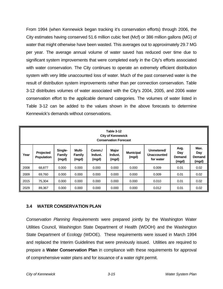From 1994 (when Kennewick began tracking it's conservation efforts) through 2006, the City estimates having conserved 51.6 million cubic feet (Mcf) or 386 million gallons (MG) of water that might otherwise have been wasted. This averages out to approximately 29.7 MG per year. The average annual volume of water saved has reduced over time due to significant system improvements that were completed early in the City's efforts associated with water conservation. The City continues to operate an extremely efficient distribution system with very little unaccounted loss of water. Much of the past conserved water is the result of distribution system improvements rather than per connection conservation. Table 3-12 distributes volumes of water associated with the City's 2004, 2005, and 2006 water conservation effort to the applicable demand categories. The volumes of water listed in Table 3-12 can be added to the values shown in the above forecasts to determine Kennewick's demands without conservations.

|                                                                                                                                                                                                                                                                                                   | <b>Table 3-12</b><br><b>City of Kennewick</b><br><b>Conservation Forecast</b> |       |       |       |       |       |       |      |                                       |  |
|---------------------------------------------------------------------------------------------------------------------------------------------------------------------------------------------------------------------------------------------------------------------------------------------------|-------------------------------------------------------------------------------|-------|-------|-------|-------|-------|-------|------|---------------------------------------|--|
| Avg.<br><b>Major</b><br>Single-<br>Multi-<br>Unmetered/<br>Comm./<br><b>Municipal</b><br><b>Projected</b><br>Day<br>Year<br>Family<br>Indust.<br>Indust.<br><b>Family</b><br>Unaccounted<br><b>Population</b><br><b>Demand</b><br>(mgd)<br>for water<br>(mgd)<br>(mgd)<br>(mgd)<br>(mgd)<br>(mgd) |                                                                               |       |       |       |       |       |       |      | Max.<br>Day<br><b>Demand</b><br>(mgd) |  |
| 2008                                                                                                                                                                                                                                                                                              | 68,877                                                                        | 0.000 | 0.000 | 0.000 | 0.000 | 0.000 | 0.009 | 0.01 | 0.02                                  |  |
| 2009                                                                                                                                                                                                                                                                                              | 69,760                                                                        | 0.000 | 0.000 | 0.000 | 0.000 | 0.000 | 0.009 | 0.01 | 0.02                                  |  |
| 2015                                                                                                                                                                                                                                                                                              | 75,304                                                                        | 0.000 | 0.000 | 0.000 | 0.000 | 0.000 | 0.010 | 0.01 | 0.02                                  |  |
| 2029                                                                                                                                                                                                                                                                                              | 89,367                                                                        | 0.000 | 0.000 | 0.000 | 0.000 | 0.000 | 0.012 | 0.01 | 0.02                                  |  |

# **3.4 WATER CONSERVATION PLAN**

*Conservation Planning Requirements* were prepared jointly by the Washington Water Utilities Council, Washington State Department of Health (WDOH) and the Washington State Department of Ecology (WDOE). These requirements were issued in March 1994 and replaced the Interim Guidelines that were previously issued. Utilities are required to prepare a **Water Conservation Plan** in compliance with these requirements for approval of comprehensive water plans and for issuance of a water right permit.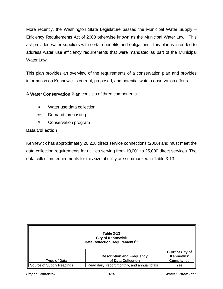More recently, the Washington State Legislature passed the Municipal Water Supply – Efficiency Requirements Act of 2003 otherwise known as the Municipal Water Law. This act provided water suppliers with certain benefits and obligations. This plan is intended to address water use efficiency requirements that were mandated as part of the Municipal Water Law.

This plan provides an overview of the requirements of a conservation plan and provides information on Kennewick's current, proposed, and potential water conservation efforts.

A **Water Conservation Plan** consists of three components:

- Water use data collection
- \* Demand forecasting
- Conservation program

# **Data Collection**

Kennewick has approximately 20,218 direct service connections (2006) and must meet the data collection requirements for utilities serving from 10,001 to 25,000 direct services. The data collection requirements for this size of utility are summarized in Table 3-13.

| <b>Table 3-13</b><br><b>City of Kennewick</b><br>Data Collection Requirements <sup>(1)</sup> |                                                        |                                                                 |  |  |  |  |  |
|----------------------------------------------------------------------------------------------|--------------------------------------------------------|-----------------------------------------------------------------|--|--|--|--|--|
| <b>Type of Data</b>                                                                          | <b>Description and Frequency</b><br>of Data Collection | <b>Current City of</b><br><b>Kennewick</b><br><b>Compliance</b> |  |  |  |  |  |
| Source of Supply Readings                                                                    | Read daily, report monthly, and annual totals          | Yes                                                             |  |  |  |  |  |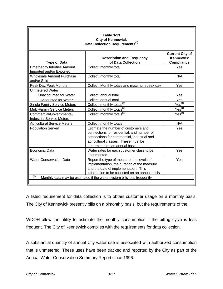| <b>Table 3-13</b><br><b>City of Kennewick</b><br>Data Collection Requirements <sup>(1)</sup> |                                                                                                                                                                                                           |                                                                 |  |  |  |  |
|----------------------------------------------------------------------------------------------|-----------------------------------------------------------------------------------------------------------------------------------------------------------------------------------------------------------|-----------------------------------------------------------------|--|--|--|--|
| <b>Type of Data</b>                                                                          | <b>Description and Frequency</b><br>of Data Collection                                                                                                                                                    | <b>Current City of</b><br><b>Kennewick</b><br><b>Compliance</b> |  |  |  |  |
| <b>Emergency Interties Amount</b><br>Imported and/or Exported                                | Collect: monthly total                                                                                                                                                                                    | Yes                                                             |  |  |  |  |
| <b>Wholesale Amount Purchase</b><br>and/or Sold                                              | Collect: monthly total                                                                                                                                                                                    | N/A                                                             |  |  |  |  |
| Peak Day/Peak Months<br><b>Unmetered Water</b>                                               | Collect: Monthly totals and maximum peak day                                                                                                                                                              | Yes                                                             |  |  |  |  |
| <b>Unaccounted for Water</b>                                                                 | Collect: annual total                                                                                                                                                                                     | Yes                                                             |  |  |  |  |
| <b>Accounted for Water</b>                                                                   | Collect: annual total                                                                                                                                                                                     | Yes                                                             |  |  |  |  |
| <b>Single Family Service Meters</b>                                                          | Collect: monthly totals <sup>(1)</sup>                                                                                                                                                                    | $Yes^{(1)}$                                                     |  |  |  |  |
| <b>Multi-Family Service Meters</b>                                                           | Collect: monthly totals <sup>(1)</sup>                                                                                                                                                                    | Yes <sup>(1)</sup>                                              |  |  |  |  |
| Commercial/Governmental/<br><b>Industrial Service Meters</b>                                 | Collect: monthly totals <sup>(1)</sup>                                                                                                                                                                    | Yes <sup>(1)</sup>                                              |  |  |  |  |
| <b>Agricultural Service Meters</b>                                                           | Collect: monthly totals                                                                                                                                                                                   | N/A                                                             |  |  |  |  |
| <b>Population Served</b>                                                                     | Estimate the number of customers and<br>connections for residential, and number of<br>connections for commercial, industrial and<br>agricultural classes. These must be<br>determined on an annual basis. | Yes                                                             |  |  |  |  |
| Economic Data                                                                                | Water rates for each customer class to be<br>documented                                                                                                                                                   | Yes                                                             |  |  |  |  |
| <b>Water Conservation Data</b>                                                               | Report the type of measure, the levels of<br>implementation, the duration of the measure<br>and the date of implementation. This<br>information to be collected on an annual basis.                       | Yes                                                             |  |  |  |  |
| (1)<br>Monthly data may be estimated if the water system bills less frequently               |                                                                                                                                                                                                           |                                                                 |  |  |  |  |

A listed requirement for data collection is to obtain customer usage on a monthly basis. The City of Kennewick presently bills on a bimonthly basis, but the requirements of the

WDOH allow the utility to estimate the monthly consumption if the billing cycle is less frequent. The City of Kennewick complies with the requirements for data collection.

A substantial quantity of annual City water use is associated with authorized consumption that is unmetered. These uses have been tracked and reported by the City as part of the Annual Water Conservation Summary Report since 1996.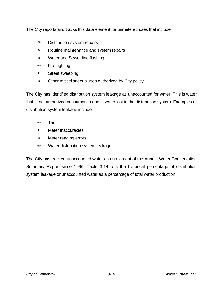The City reports and tracks this data element for unmetered uses that include:

- **\*\*** Distribution system repairs
- **EXECUTE:** Routine maintenance and system repairs
- Water and Sewer line flushing
- Fire-fighting
- Street sweeping
- Other miscellaneous uses authorized by City policy

The City has identified distribution system leakage as unaccounted for water. This is water that is not authorized consumption and is water lost in the distribution system. Examples of distribution system leakage include:

- Theft
- \* Meter inaccuracies
- **\*\*** Meter reading errors
- **\*\*** Water distribution system leakage

The City has tracked unaccounted water as an element of the Annual Water Conservation Summary Report since 1996. Table 3-14 lists the historical percentage of distribution system leakage or unaccounted water as a percentage of total water production.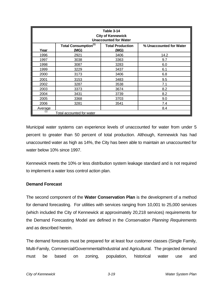| Table 3-14<br><b>City of Kennewick</b><br><b>Unaccounted for Water</b>                                                |                           |      |      |  |  |  |  |  |
|-----------------------------------------------------------------------------------------------------------------------|---------------------------|------|------|--|--|--|--|--|
| <b>Total Consumption</b> <sup>(1)</sup><br><b>Total Production</b><br>% Unaccounted for Water<br>Year<br>(MG)<br>(MG) |                           |      |      |  |  |  |  |  |
| 1996                                                                                                                  | 2921                      | 3406 | 14.2 |  |  |  |  |  |
| 1997                                                                                                                  | 3038                      | 3363 | 9.7  |  |  |  |  |  |
| 1998                                                                                                                  | 3087                      | 3283 | 6.0  |  |  |  |  |  |
| 1999                                                                                                                  | 3229                      | 3437 | 6.1  |  |  |  |  |  |
| 2000                                                                                                                  | 3173                      | 3406 | 6.8  |  |  |  |  |  |
| 2001                                                                                                                  | 3153                      | 3483 | 9.5  |  |  |  |  |  |
| 2002                                                                                                                  | 3287                      | 3538 | 7.1  |  |  |  |  |  |
| 2003                                                                                                                  | 3373                      | 3674 | 8.2  |  |  |  |  |  |
| 2004                                                                                                                  | 3431                      | 3739 | 8.2  |  |  |  |  |  |
| 2005                                                                                                                  | 3368                      | 3703 | 9.0  |  |  |  |  |  |
| 2006                                                                                                                  | 3281                      | 3541 | 7.4  |  |  |  |  |  |
| Average                                                                                                               |                           |      | 8.4  |  |  |  |  |  |
| (1)                                                                                                                   | Total accounted for water |      |      |  |  |  |  |  |

Municipal water systems can experience levels of unaccounted for water from under 5 percent to greater than 50 percent of total production. Although, Kennewick has had unaccounted water as high as 14%, the City has been able to maintain an unaccounted for water below 10% since 1997.

Kennewick meets the 10% or less distribution system leakage standard and is not required to implement a water loss control action plan.

#### **Demand Forecast**

The second component of the **Water Conservation Plan** is the development of a method for demand forecasting. For utilities with services ranging from 10,001 to 25,000 services (which included the City of Kennewick at approximately 20,218 services) requirements for the Demand Forecasting Model are defined in the *Conservation Planning Requirements* and as described herein.

The demand forecasts must be prepared for at least four customer classes (Single Family, Multi-Family, Commercial/Governmental/Industrial and Agricultural. The projected demand must be based on zoning, population, historical water use and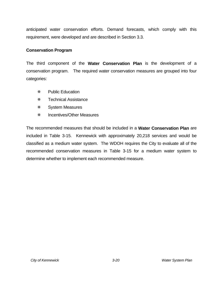anticipated water conservation efforts. Demand forecasts, which comply with this requirement, were developed and are described in Section 3.3.

#### **Conservation Program**

The third component of the **Water Conservation Plan** is the development of a conservation program. The required water conservation measures are grouped into four categories:

- Public Education
- Technical Assistance
- \* System Measures
- Incentives/Other Measures

The recommended measures that should be included in a **Water Conservation Plan** are included in Table 3-15. Kennewick with approximately 20,218 services and would be classified as a medium water system. The WDOH requires the City to evaluate all of the recommended conservation measures in Table 3-15 for a medium water system to determine whether to implement each recommended measure.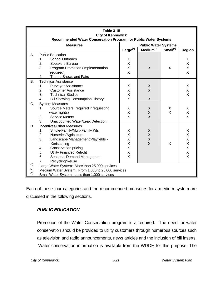|                                                | <b>Table 3-15</b><br><b>City of Kennewick</b>                   |                                                    |               |                       |               |        |  |  |  |
|------------------------------------------------|-----------------------------------------------------------------|----------------------------------------------------|---------------|-----------------------|---------------|--------|--|--|--|
|                                                | Recommended Water Conservation Program for Public Water Systems |                                                    |               |                       |               |        |  |  |  |
| <b>Public Water Systems</b><br><b>Measures</b> |                                                                 |                                                    |               |                       |               |        |  |  |  |
|                                                |                                                                 |                                                    | $Large^{(1)}$ | Medium <sup>(2)</sup> | $Small^{(3)}$ | Region |  |  |  |
| А.                                             |                                                                 | <b>Public Education</b>                            |               |                       |               |        |  |  |  |
|                                                | 1.                                                              | <b>School Outreach</b>                             | X             |                       |               | X      |  |  |  |
|                                                | 2.                                                              | Speakers Bureau                                    | X             |                       |               | X      |  |  |  |
|                                                | 3.                                                              | Program Promotion (implementation                  | X             | X                     | X             | Χ      |  |  |  |
|                                                |                                                                 | required)                                          | X             |                       |               | X      |  |  |  |
|                                                | 4.                                                              | Theme Shows and Fairs                              |               |                       |               |        |  |  |  |
| <b>B.</b>                                      |                                                                 | <b>Technical Assistance</b>                        |               |                       |               |        |  |  |  |
|                                                | 1.                                                              | <b>Purveyor Assistance</b>                         | X             | X                     |               | X      |  |  |  |
|                                                | 2.                                                              | <b>Customer Assistance</b>                         | Χ             | $\overline{X}$        |               | X      |  |  |  |
|                                                | 3.                                                              | <b>Technical Studies</b>                           | X             |                       |               | X      |  |  |  |
|                                                | 4.                                                              | <b>Bill Showing Consumption History</b>            | X             | X                     |               |        |  |  |  |
| C.                                             |                                                                 | <b>System Measures</b>                             |               |                       |               |        |  |  |  |
|                                                | 1.                                                              | Source Meters (required if requesting              | X             | X                     | X             | X      |  |  |  |
|                                                |                                                                 | water rights)                                      | Χ             | X                     | X             | Χ      |  |  |  |
|                                                | 2.                                                              | <b>Service Meters</b>                              | X             | X                     |               | X      |  |  |  |
|                                                | 3.                                                              | Unaccounted Water/Leak Detection                   |               |                       |               |        |  |  |  |
| D.                                             |                                                                 | <b>Incentives/Other Measures</b>                   |               |                       |               |        |  |  |  |
|                                                | 1.                                                              | Single-Family/Multi-Family Kits                    | Х             | X                     |               | X      |  |  |  |
|                                                | 2.                                                              | Nurseries/Agriculture                              | Χ             | X                     |               | Χ      |  |  |  |
|                                                | 3.                                                              | Landscape Management/Playfields -                  | X             | $\sf X$               |               | X      |  |  |  |
|                                                |                                                                 | Xeriscaping                                        | X             | X                     | X             | X      |  |  |  |
|                                                | 4.                                                              | Conservation pricing                               | X             |                       |               | X      |  |  |  |
|                                                | 5.                                                              | <b>Utility Financed Retrofit</b>                   | X             |                       |               | X      |  |  |  |
|                                                | 6.                                                              | Seasonal Demand Management                         | X             |                       |               | X      |  |  |  |
|                                                | 7.                                                              | Recycling/Reuse                                    |               |                       |               |        |  |  |  |
| (1)                                            |                                                                 | Large Water System: More than 25,000 services      |               |                       |               |        |  |  |  |
| (2)                                            |                                                                 | Medium Water System: From 1,000 to 25,000 services |               |                       |               |        |  |  |  |
| (3)                                            |                                                                 | Small Water System: Less than 1,000 services       |               |                       |               |        |  |  |  |

Each of these four categories and the recommended measures for a medium system are discussed in the following sections.

# *PUBLIC EDUCATION*

Promotion of the Water Conservation program is a required. The need for water conservation should be provided to utility customers through numerous sources such as television and radio announcements, news articles and the inclusion of bill inserts. Water conservation information is available from the WDOH for this purpose. The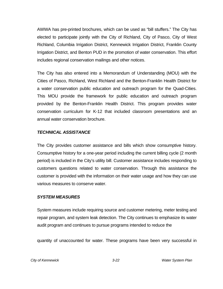AWWA has pre-printed brochures, which can be used as "bill stuffers." The City has elected to participate jointly with the City of Richland, City of Pasco, City of West Richland, Columbia Irrigation District, Kennewick Irrigation District, Franklin County Irrigation District, and Benton PUD in the promotion of water conservation. This effort includes regional conservation mailings and other notices.

The City has also entered into a Memorandum of Understanding (MOU) with the Cities of Pasco, Richland, West Richland and the Benton-Franklin Health District for a water conservation public education and outreach program for the Quad-Cities. This MOU provide the framework for public education and outreach program provided by the Benton-Franklin Health District. This program provides water conservation curriculum for K-12 that included classroom presentations and an annual water conservation brochure.

#### *TECHNICAL ASSISTANCE*

The City provides customer assistance and bills which show consumptive history. Consumptive history for a one-year period including the current billing cycle (2 month period) is included in the City's utility bill. Customer assistance includes responding to customers questions related to water conservation. Through this assistance the customer is provided with the information on their water usage and how they can use various measures to conserve water.

#### *SYSTEM MEASURES*

System measures include requiring source and customer metering, meter testing and repair program, and system leak detection. The City continues to emphasize its water audit program and continues to pursue programs intended to reduce the

quantity of unaccounted for water. These programs have been very successful in

*City of Kennewick 3-22 Water System Plan*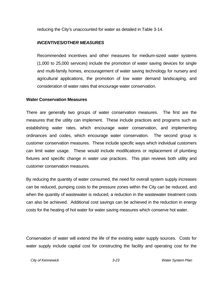reducing the City's unaccounted for water as detailed in Table 3-14.

#### *INCENTIVES/OTHER MEASURES*

Recommended incentives and other measures for medium-sized water systems (1,000 to 25,000 services) include the promotion of water saving devices for single and multi-family homes, encouragement of water saving technology for nursery and agricultural applications, the promotion of low water demand landscaping, and consideration of water rates that encourage water conservation.

#### **Water Conservation Measures**

There are generally two groups of water conservation measures. The first are the measures that the utility can implement. These include practices and programs such as establishing water rates, which encourage water conservation, and implementing ordinances and codes, which encourage water conservation. The second group is customer conservation measures. These include specific ways which individual customers can limit water usage. These would include modifications or replacement of plumbing fixtures and specific change in water use practices. This plan reviews both utility and customer conservation measures.

By reducing the quantity of water consumed, the need for overall system supply increases can be reduced, pumping costs to the pressure zones within the City can be reduced, and when the quantity of wastewater is reduced, a reduction in the wastewater treatment costs can also be achieved. Additional cost savings can be achieved in the reduction in energy costs for the heating of hot water for water saving measures which conserve hot water.

Conservation of water will extend the life of the existing water supply sources. Costs for water supply include capital cost for constructing the facility and operating cost for the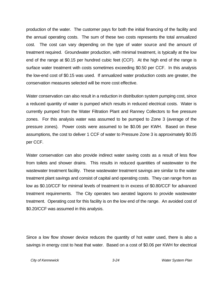production of the water. The customer pays for both the initial financing of the facility and the annual operating costs. The sum of these two costs represents the total annualized cost. The cost can vary depending on the type of water source and the amount of treatment required. Groundwater production, with minimal treatment, is typically at the low end of the range at \$0.15 per hundred cubic feet (CCF). At the high end of the range is surface water treatment with costs sometimes exceeding \$0.50 per CCF. In this analysis the low-end cost of \$0.15 was used. If annualized water production costs are greater, the conservation measures selected will be more cost effective.

Water conservation can also result in a reduction in distribution system pumping cost, since a reduced quantity of water is pumped which results in reduced electrical costs. Water is currently pumped from the Water Filtration Plant and Ranney Collectors to five pressure zones. For this analysis water was assumed to be pumped to Zone 3 (average of the pressure zones). Power costs were assumed to be \$0.06 per KWH. Based on these assumptions, the cost to deliver 1 CCF of water to Pressure Zone 3 is approximately \$0.05 per CCF.

Water conservation can also provide indirect water saving costs as a result of less flow from toilets and shower drains. This results in reduced quantities of wastewater to the wastewater treatment facility. These wastewater treatment savings are similar to the water treatment plant savings and consist of capital and operating costs. They can range from as low as \$0.10/CCF for minimal levels of treatment to in excess of \$0.80/CCF for advanced treatment requirements. The City operates two aerated lagoons to provide wastewater treatment. Operating cost for this facility is on the low end of the range. An avoided cost of \$0.20/CCF was assumed in this analysis.

Since a low flow shower device reduces the quantity of hot water used, there is also a savings in energy cost to heat that water. Based on a cost of \$0.06 per KWH for electrical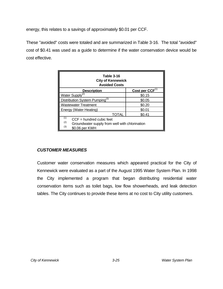energy, this relates to a savings of approximately \$0.01 per CCF.

These "avoided" costs were totaled and are summarized in Table 3-16. The total "avoided" cost of \$0.41 was used as a guide to determine if the water conservation device would be cost effective.

| Table 3-16<br><b>City of Kennewick</b><br><b>Avoided Costs</b>                                                      |        |  |  |  |  |  |
|---------------------------------------------------------------------------------------------------------------------|--------|--|--|--|--|--|
| Cost per CCF <sup>(1)</sup><br><b>Description</b>                                                                   |        |  |  |  |  |  |
| Water Supply <sup>(2)</sup>                                                                                         | \$0.15 |  |  |  |  |  |
| Distribution System Pumping <sup>(3)</sup>                                                                          | \$0.05 |  |  |  |  |  |
| <b>Wastewater Treatment</b>                                                                                         | \$0.20 |  |  |  |  |  |
| <b>Energy (Water Heating)</b>                                                                                       | \$0.01 |  |  |  |  |  |
| TOTAL                                                                                                               | \$0.41 |  |  |  |  |  |
| (1)<br>$CCF = hundred cubic feet$<br>(2)<br>Groundwater supply from well with chlorination<br>(3)<br>\$0.06 per KWH |        |  |  |  |  |  |

# *CUSTOMER MEASURES*

Customer water conservation measures which appeared practical for the City of Kennewick were evaluated as a part of the August 1995 Water System Plan. In 1998 the City implemented a program that began distributing residential water conservation items such as toilet bags, low flow showerheads, and leak detection tables. The City continues to provide these items at no cost to City utility customers.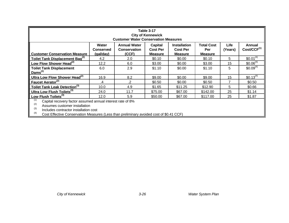| Table 3-17<br><b>City of Kennewick</b><br><b>Customer Water Conservation Measures</b>                                                                     |                                                                                                                                                                                                                                                                                                                 |      |         |         |          |    |                |  |  |  |
|-----------------------------------------------------------------------------------------------------------------------------------------------------------|-----------------------------------------------------------------------------------------------------------------------------------------------------------------------------------------------------------------------------------------------------------------------------------------------------------------|------|---------|---------|----------|----|----------------|--|--|--|
| <b>Customer Conservation Measure</b>                                                                                                                      | Life<br>Water<br><b>Annual Water</b><br><b>Total Cost</b><br>Capital<br><b>Installation</b><br>Annual<br>Cost/CCF <sup>(1)</sup><br><b>Cost Per</b><br><b>Cost Per</b><br>Per<br>(Years)<br><b>Conserved</b><br><b>Conservation</b><br>(CCF)<br>(gal/day)<br><b>Measure</b><br><b>Measure</b><br><b>Measure</b> |      |         |         |          |    |                |  |  |  |
| Toilet Tank Displacement Bag <sup>(2)</sup>                                                                                                               | 4.2                                                                                                                                                                                                                                                                                                             | 2.0  | \$0.10  | \$0.00  | \$0.10   | 5  | $$0.01^{(4)}$  |  |  |  |
| Low Flow Shower Head <sup>(2)</sup>                                                                                                                       | 12.2                                                                                                                                                                                                                                                                                                            | 6.0  | \$3.00  | \$0.00  | \$3.00   | 15 | $$0.06^{(4)}$  |  |  |  |
| <b>Toilet Tank Displacement</b><br>Dams $(2)$                                                                                                             | 6.0                                                                                                                                                                                                                                                                                                             | 2.9  | \$1.10  | \$0.00  | \$1.10   | 5  | $$0.09^{(4)}$  |  |  |  |
| Ultra Low Flow Shower Head <sup>(2)</sup>                                                                                                                 | 16.9                                                                                                                                                                                                                                                                                                            | 8.2  | \$9.00  | \$0.00  | \$9.00   | 15 | $$0.13^{(4)}$$ |  |  |  |
| Faucet Aerator <sup>(2)</sup>                                                                                                                             | .4                                                                                                                                                                                                                                                                                                              | .2   | \$0.50  | \$0.00  | \$0.50   | 7  | \$0.50         |  |  |  |
| Toilet Tank Leak Detection <sup>(3)</sup>                                                                                                                 | 10.0                                                                                                                                                                                                                                                                                                            | 4.9  | \$1.65  | \$11.25 | \$12.90  | 5  | \$0.66         |  |  |  |
| Ultra Low Flush Toilets <sup>(3)</sup>                                                                                                                    | 24.0                                                                                                                                                                                                                                                                                                            | 11.7 | \$75.00 | \$67.00 | \$142.00 | 25 | \$1.14         |  |  |  |
| Low Flush Toilets <sup>(3)</sup>                                                                                                                          | 12.0                                                                                                                                                                                                                                                                                                            | 5.9  | \$50.00 | \$67.00 | \$117.00 | 25 | \$1.87         |  |  |  |
| (1)<br>Capital recovery factor assumed annual interest rate of 8%<br>(2)<br>Assumes customer installation<br>(3)<br>Includes contractor installation cost |                                                                                                                                                                                                                                                                                                                 |      |         |         |          |    |                |  |  |  |

 $^{(3)}$  Includes contractor installation cost

(4) Cost Effective Conservation Measures (Less than preliminary avoided cost of \$0.41 CCF)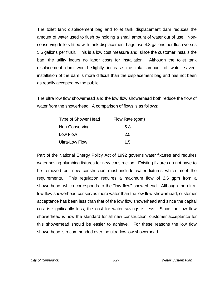The toilet tank displacement bag and toilet tank displacement dam reduces the amount of water used to flush by holding a small amount of water out of use. Nonconserving toilets fitted with tank displacement bags use 4.8 gallons per flush versus 5.5 gallons per flush. This is a low cost measure and, since the customer installs the bag, the utility incurs no labor costs for installation. Although the toilet tank displacement dam would slightly increase the total amount of water saved, installation of the dam is more difficult than the displacement bag and has not been as readily accepted by the public.

The ultra low flow showerhead and the low flow showerhead both reduce the flow of water from the showerhead. A comparison of flows is as follows:

| <b>Type of Shower Head</b> | <b>Flow Rate (gpm)</b> |
|----------------------------|------------------------|
| Non-Conserving             | $5-8$                  |
| Low Flow                   | 2.5                    |
| <b>Ultra-Low Flow</b>      | 1.5                    |

Part of the National Energy Policy Act of 1992 governs water fixtures and requires water saving plumbing fixtures for new construction. Existing fixtures do not have to be removed but new construction must include water fixtures which meet the requirements. This regulation requires a maximum flow of 2.5 gpm from a showerhead, which corresponds to the "low flow" showerhead. Although the ultralow flow showerhead conserves more water than the low flow showerhead, customer acceptance has been less than that of the low flow showerhead and since the capital cost is significantly less, the cost for water savings is less. Since the low flow showerhead is now the standard for all new construction, customer acceptance for this showerhead should be easier to achieve. For these reasons the low flow showerhead is recommended over the ultra-low low showerhead.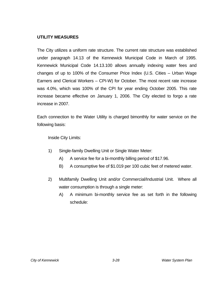#### **UTILITY MEASURES**

The City utilizes a uniform rate structure. The current rate structure was established under paragraph 14.13 of the Kennewick Municipal Code in March of 1995. Kennewick Municipal Code 14.13.100 allows annually indexing water fees and changes of up to 100% of the Consumer Price Index (U.S. Cities – Urban Wage Earners and Clerical Workers – CPI-W) for October. The most recent rate increase was 4.0%, which was 100% of the CPI for year ending October 2005. This rate increase became effective on January 1, 2006. The City elected to forgo a rate increase in 2007.

Each connection to the Water Utility is charged bimonthly for water service on the following basis:

Inside City Limits:

- 1) Single-family Dwelling Unit or Single Water Meter:
	- A) A service fee for a bi-monthly billing period of \$17.96.
	- B) A consumptive fee of \$1.019 per 100 cubic feet of metered water.
- 2) Multifamily Dwelling Unit and/or Commercial/Industrial Unit. Where all water consumption is through a single meter:
	- A) A minimum bi-monthly service fee as set forth in the following schedule: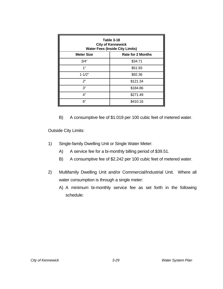| Table 3-18<br><b>City of Kennewick</b><br><b>Water Fees (Inside City Limits)</b> |                          |  |  |  |  |
|----------------------------------------------------------------------------------|--------------------------|--|--|--|--|
| <b>Meter Size</b>                                                                | <b>Rate for 2 Months</b> |  |  |  |  |
| 3/4"                                                                             | \$34.71                  |  |  |  |  |
| 1"                                                                               | \$51.93                  |  |  |  |  |
| $1 - 1/2"$                                                                       | \$92.36                  |  |  |  |  |
| 2"                                                                               | \$121.34                 |  |  |  |  |
| 3"                                                                               | \$184.86                 |  |  |  |  |
| 4"                                                                               | \$271.49                 |  |  |  |  |
| 6"                                                                               | \$410.16                 |  |  |  |  |

B) A consumptive fee of \$1.019 per 100 cubic feet of metered water.

Outside City Limits:

- 1) Single-family Dwelling Unit or Single Water Meter:
	- A) A service fee for a bi-monthly billing period of \$39.51.
	- B) A consumptive fee of \$2.242 per 100 cubic feet of metered water.
- 2) Multifamily Dwelling Unit and/or Commercial/Industrial Unit. Where all water consumption is through a single meter:
	- A) A minimum bi-monthly service fee as set forth in the following schedule: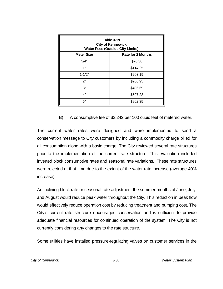| Table 3-19<br><b>City of Kennewick</b><br><b>Water Fees (Outside City Limits)</b> |                          |  |  |  |  |
|-----------------------------------------------------------------------------------|--------------------------|--|--|--|--|
| <b>Meter Size</b>                                                                 | <b>Rate for 2 Months</b> |  |  |  |  |
| 3/4"                                                                              | \$76.36                  |  |  |  |  |
| 1"                                                                                | \$114.25                 |  |  |  |  |
| $1 - 1/2"$                                                                        | \$203.19                 |  |  |  |  |
| 2"                                                                                | \$266.95                 |  |  |  |  |
| 3"                                                                                | \$406.69                 |  |  |  |  |
| 4"                                                                                | \$597.28                 |  |  |  |  |
| 6"                                                                                | \$902.35                 |  |  |  |  |

#### B) A consumptive fee of \$2.242 per 100 cubic feet of metered water.

The current water rates were designed and were implemented to send a conservation message to City customers by including a commodity charge billed for all consumption along with a basic charge. The City reviewed several rate structures prior to the implementation of the current rate structure. This evaluation included inverted block consumptive rates and seasonal rate variations. These rate structures were rejected at that time due to the extent of the water rate increase (average 40% increase).

An inclining block rate or seasonal rate adjustment the summer months of June, July, and August would reduce peak water throughout the City. This reduction in peak flow would effectively reduce operation cost by reducing treatment and pumping cost. The City's current rate structure encourages conservation and is sufficient to provide adequate financial resources for continued operation of the system. The City is not currently considering any changes to the rate structure.

Some utilities have installed pressure-regulating valves on customer services in the

*City of Kennewick 3-30 Water System Plan*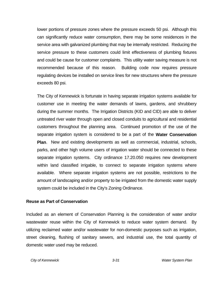lower portions of pressure zones where the pressure exceeds 50 psi. Although this can significantly reduce water consumption, there may be some residences in the service area with galvanized plumbing that may be internally restricted. Reducing the service pressure to these customers could limit effectiveness of plumbing fixtures and could be cause for customer complaints. This utility water saving measure is not recommended because of this reason. Building code now requires pressure regulating devices be installed on service lines for new structures where the pressure exceeds 80 psi.

The City of Kennewick is fortunate in having separate irrigation systems available for customer use in meeting the water demands of lawns, gardens, and shrubbery during the summer months. The Irrigation Districts (KID and CID) are able to deliver untreated river water through open and closed conduits to agricultural and residential customers throughout the planning area. Continued promotion of the use of the separate irrigation system is considered to be a part of the **Water Conservation Plan**. New and existing developments as well as commercial, industrial, schools, parks, and other high volume users of irrigation water should be connected to these separate irrigation systems. City ordinance 17.20.050 requires new development within land classified irrigable, to connect to separate irrigation systems where available. Where separate irrigation systems are not possible, restrictions to the amount of landscaping and/or property to be irrigated from the domestic water supply system could be included in the City's Zoning Ordinance.

#### **Reuse as Part of Conservation**

Included as an element of Conservation Planning is the consideration of water and/or wastewater reuse within the City of Kennewick to reduce water system demand. By utilizing reclaimed water and/or wastewater for non-domestic purposes such as irrigation, street cleaning, flushing of sanitary sewers, and industrial use, the total quantity of domestic water used may be reduced.

*City of Kennewick 3-31 Water System Plan*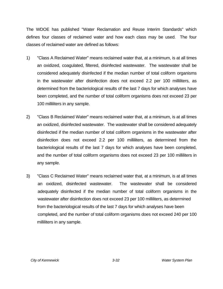The WDOE has published "Water Reclamation and Reuse Interim Standards" which defines four classes of reclaimed water and how each class may be used. The four classes of reclaimed water are defined as follows:

- 1) "Class A Reclaimed Water" means reclaimed water that, at a minimum, is at all times an oxidized, coagulated, filtered, disinfected wastewater. The wastewater shall be considered adequately disinfected if the median number of total coliform organisms in the wastewater after disinfection does not exceed 2.2 per 100 milliliters, as determined from the bacteriological results of the last 7 days for which analyses have been completed, and the number of total coliform organisms does not exceed 23 per 100 milliliters in any sample.
- 2) "Class B Reclaimed Water" means reclaimed water that, at a minimum, is at all times an oxidized, disinfected wastewater. The wastewater shall be considered adequately disinfected if the median number of total coliform organisms in the wastewater after disinfection does not exceed 2.2 per 100 milliliters, as determined from the bacteriological results of the last 7 days for which analyses have been completed, and the number of total coliform organisms does not exceed 23 per 100 milliliters in any sample.
- 3) "Class C Reclaimed Water" means reclaimed water that, at a minimum, is at all times an oxidized, disinfected wastewater. The wastewater shall be considered adequately disinfected if the median number of total coliform organisms in the wastewater after disinfection does not exceed 23 per 100 milliliters, as determined from the bacteriological results of the last 7 days for which analyses have been completed, and the number of total coliform organisms does not exceed 240 per 100 milliliters in any sample.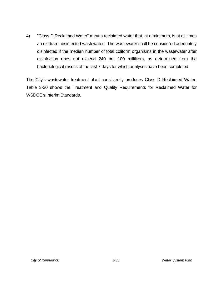4) "Class D Reclaimed Water" means reclaimed water that, at a minimum, is at all times an oxidized, disinfected wastewater. The wastewater shall be considered adequately disinfected if the median number of total coliform organisms in the wastewater after disinfection does not exceed 240 per 100 milliliters, as determined from the bacteriological results of the last 7 days for which analyses have been completed.

The City's wastewater treatment plant consistently produces Class D Reclaimed Water. Table 3-20 shows the Treatment and Quality Requirements for Reclaimed Water for WSDOE's Interim Standards.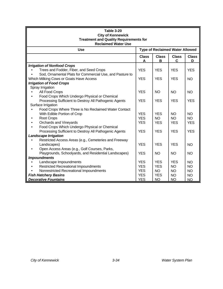| <b>Table 3-20</b><br><b>City of Kennewick</b>                        |                   |                   |                                        |                   |  |  |  |  |
|----------------------------------------------------------------------|-------------------|-------------------|----------------------------------------|-------------------|--|--|--|--|
| <b>Treatment and Quality Requirements for</b>                        |                   |                   |                                        |                   |  |  |  |  |
| <b>Reclaimed Water Use</b>                                           |                   |                   |                                        |                   |  |  |  |  |
| <b>Use</b>                                                           |                   |                   | <b>Type of Reclaimed Water Allowed</b> |                   |  |  |  |  |
|                                                                      | <b>Class</b><br>A | <b>Class</b><br>B | <b>Class</b><br>C                      | <b>Class</b><br>D |  |  |  |  |
| <b>Irrigation of Nonfood Crops</b>                                   |                   |                   |                                        |                   |  |  |  |  |
| Trees and Fodder, Fiber, and Seed Crops                              | <b>YES</b>        | <b>YES</b>        | <b>YES</b>                             | <b>YES</b>        |  |  |  |  |
| Sod, Ornamental Plats for Commercial Use, and Pasture to             |                   |                   |                                        |                   |  |  |  |  |
| Which Milking Cows or Goats Have Access                              | <b>YES</b>        | <b>YES</b>        | <b>YES</b>                             | <b>NO</b>         |  |  |  |  |
| <b>Irrigation of Food Crops</b>                                      |                   |                   |                                        |                   |  |  |  |  |
| Spray Irrigation                                                     |                   |                   |                                        |                   |  |  |  |  |
| All Food Crops                                                       | <b>YES</b>        | <b>NO</b>         | <b>NO</b>                              | <b>NO</b>         |  |  |  |  |
| Food Crops Which Undergo Physical or Chemical                        |                   |                   |                                        |                   |  |  |  |  |
| Processing Sufficient to Destroy All Pathogenic Agents               | <b>YES</b>        | <b>YES</b>        | <b>YES</b>                             | <b>YES</b>        |  |  |  |  |
| Surface Irrigation                                                   |                   |                   |                                        |                   |  |  |  |  |
| Food Crops Where Three is No Reclaimed Water Contact                 |                   |                   |                                        |                   |  |  |  |  |
| With Edible Portion of Crop                                          | <b>YES</b>        | <b>YES</b>        | <b>NO</b>                              | <b>NO</b>         |  |  |  |  |
| <b>Root Crops</b>                                                    | <b>YES</b>        | NO.               | <b>NO</b>                              | <b>NO</b>         |  |  |  |  |
| Orchards and Vineyards                                               | <b>YES</b>        | <b>YES</b>        | <b>YES</b>                             | <b>YES</b>        |  |  |  |  |
| Food Crops Which Undergo Physical or Chemical<br>$\bullet$           |                   | <b>YES</b>        |                                        |                   |  |  |  |  |
| Processing Sufficient to Destroy All Pathogenic Agents               | <b>YES</b>        |                   | <b>YES</b>                             | <b>YES</b>        |  |  |  |  |
| <b>Landscape Irrigation</b>                                          |                   |                   |                                        |                   |  |  |  |  |
| Restricted Access Areas (e.g., Cemeteries and Freeway<br>Landscapes) | <b>YES</b>        | <b>YES</b>        | <b>YES</b>                             | <b>NO</b>         |  |  |  |  |
| Open Access Areas (e.g., Golf Courses, Parks,                        |                   |                   |                                        |                   |  |  |  |  |
| Playgrounds, Schoolyards, and Residential Landscapes)                | <b>YES</b>        | <b>NO</b>         | <b>NO</b>                              | <b>NO</b>         |  |  |  |  |
| <b>Impoundments</b>                                                  |                   |                   |                                        |                   |  |  |  |  |
| Landscape Impoundments                                               | <b>YES</b>        | <b>YES</b>        | <b>YES</b>                             | <b>NO</b>         |  |  |  |  |
| <b>Restricted Recreational Impoundments</b>                          | <b>YES</b>        | <b>YES</b>        | <b>NO</b>                              | <b>NO</b>         |  |  |  |  |
| Nonrestricted Recreational Impoundments                              | <b>YES</b>        | <b>NO</b>         | <b>NO</b>                              | <b>NO</b>         |  |  |  |  |
| <b>Fish Hatchery Basins</b>                                          | <b>YES</b>        | <b>YES</b>        | <b>NO</b>                              | <b>NO</b>         |  |  |  |  |
| <b>Decorative Fountains</b>                                          | <b>YES</b>        | N <sub>O</sub>    | <b>NO</b>                              | <b>NO</b>         |  |  |  |  |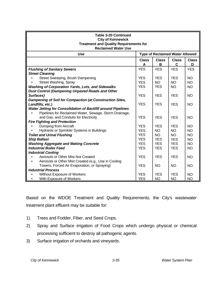| <b>Table 3-20 Continued</b><br><b>City of Kennewick</b><br><b>Treatment and Quality Requirements for</b><br><b>Reclaimed Water Use</b>                                 |                   |                   |                                        |                   |  |  |  |
|------------------------------------------------------------------------------------------------------------------------------------------------------------------------|-------------------|-------------------|----------------------------------------|-------------------|--|--|--|
| <b>Use</b>                                                                                                                                                             |                   |                   | <b>Type of Reclaimed Water Allowed</b> |                   |  |  |  |
|                                                                                                                                                                        | <b>Class</b><br>A | <b>Class</b><br>В | <b>Class</b><br>$\mathbf C$            | <b>Class</b><br>D |  |  |  |
| <b>Flushing of Sanitary Sewers</b>                                                                                                                                     | <b>YES</b>        | <b>YES</b>        | <b>YES</b>                             | <b>YES</b>        |  |  |  |
| <b>Street Cleaning</b>                                                                                                                                                 |                   |                   |                                        |                   |  |  |  |
| Street Sweeping, Brush Dampening                                                                                                                                       | <b>YES</b>        | <b>YES</b>        | <b>YES</b>                             | <b>NO</b>         |  |  |  |
| Street Washing, Spray                                                                                                                                                  | <b>YES</b>        | <b>NO</b>         | <b>NO</b>                              | <b>NO</b>         |  |  |  |
| <b>Washing of Corporation Yards, Lots, and Sidewalks</b>                                                                                                               | <b>YES</b>        | <b>YES</b>        | <b>NO</b>                              | <b>NO</b>         |  |  |  |
| <b>Dust Control (Dampening Unpaved Roads and Other</b>                                                                                                                 |                   |                   |                                        |                   |  |  |  |
| Surfaces)                                                                                                                                                              | <b>YES</b>        | <b>YES</b>        | <b>YES</b>                             | <b>NO</b>         |  |  |  |
| Dampening of Soil for Compaction (at Construction Sites,                                                                                                               |                   |                   |                                        |                   |  |  |  |
| Landfills, etc.)                                                                                                                                                       | <b>YES</b>        | <b>YES</b>        | <b>YES</b>                             | <b>NO</b>         |  |  |  |
| <b>Water Jetting for Consolidation of Backfill around Pipelines</b><br>Pipelines for Reclaimed Water, Sewage, Storm Drainage,<br>and Gas, and Conduits for Electricity | <b>YES</b>        | <b>YES</b>        | <b>YES</b>                             | <b>NO</b>         |  |  |  |
| <b>Fire Fighting and Protection</b>                                                                                                                                    |                   |                   |                                        |                   |  |  |  |
| Dumping from Aircraft                                                                                                                                                  | <b>YES</b>        | <b>YES</b>        | <b>YES</b>                             | <b>NO</b>         |  |  |  |
| Hydrants or Sprinkler Systems in Buildings                                                                                                                             | <b>YES</b>        | <b>NO</b>         | <b>NO</b>                              | <b>NO</b>         |  |  |  |
| <b>Toilet and Urinal Flushing</b>                                                                                                                                      | <b>YES</b>        | <b>NO</b>         | <b>NO</b>                              | <b>NO</b>         |  |  |  |
| <b>Ship Ballast</b>                                                                                                                                                    | <b>YES</b>        | <b>YES</b>        | <b>YES</b>                             | <b>NO</b>         |  |  |  |
| <b>Washing Aggregate and Making Concrete</b>                                                                                                                           | <b>YES</b>        | <b>YES</b>        | <b>YES</b>                             | <b>NO</b>         |  |  |  |
| <b>Industrial Boiler Feed</b>                                                                                                                                          | <b>YES</b>        | <b>YES</b>        | <b>YES</b>                             | <b>NO</b>         |  |  |  |
| <b>Industrial Cooling</b>                                                                                                                                              |                   |                   |                                        |                   |  |  |  |
| Aerosols or Other Mist Not Created                                                                                                                                     | <b>YES</b>        | <b>YES</b>        | <b>YES</b>                             | <b>NO</b>         |  |  |  |
| Aerosols or Other Mist Created (e.g., Use in Cooling                                                                                                                   |                   |                   |                                        |                   |  |  |  |
|                                                                                                                                                                        | <b>YES</b>        | <b>NO</b>         | <b>NO</b>                              | <b>NO</b>         |  |  |  |
| Towers, Forced Air Evaporation, or Spraying)<br><b>Industrial Process</b>                                                                                              |                   |                   |                                        |                   |  |  |  |
|                                                                                                                                                                        | <b>YES</b>        |                   |                                        |                   |  |  |  |
| <b>Without Exposure of Workers</b>                                                                                                                                     |                   | <b>YES</b>        | <b>YES</b>                             | <b>NO</b>         |  |  |  |
| With Exposure of Workers                                                                                                                                               | <b>YES</b>        | <b>NO</b>         | <b>NO</b>                              | <b>NO</b>         |  |  |  |

Based on the WDOE Treatment and Quality Requirements, the City's wastewater treatment plant effluent may be suitable for:

- 1) Trees and Fodder, Fiber, and Seed Crops.
- 2) Spray and Surface irrigation of Food Crops which undergo physical or chemical processing sufficient to destroy all pathogenic agents.
- 3) Surface irrigation of orchards and vineyards.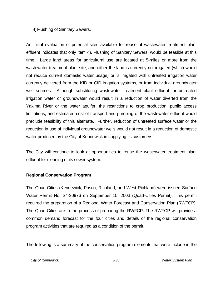#### 4) Flushing of Sanitary Sewers.

An initial evaluation of potential sites available for reuse of wastewater treatment plant effluent indicates that only item 4), Flushing of Sanitary Sewers, would be feasible at this time. Large land areas for agricultural use are located at 5-miles or more from the wastewater treatment plant site, and either the land is currently not-irrigated (which would not reduce current domestic water usage) or is irrigated with untreated irrigation water currently delivered from the KID or CID irrigation systems, or from individual groundwater well sources. Although substituting wastewater treatment plant effluent for untreated irrigation water or groundwater would result in a reduction of water diverted from the Yakima River or the water aquifer, the restrictions to crop production, public access limitations, and estimated cost of transport and pumping of the wastewater effluent would preclude feasibility of this alternate. Further, reduction of untreated surface water or the reduction in use of individual groundwater wells would not result in a reduction of domestic water produced by the City of Kennewick in supplying its customers.

The City will continue to look at opportunities to reuse the wastewater treatment plant effluent for cleaning of its sewer system.

#### **Regional Conservation Program**

The Quad-Cities (Kennewick, Pasco, Richland, and West Richland) were issued Surface Water Permit No. S4-30976 on September 15, 2003 (Quad-Cities Permit). This permit required the preparation of a Regional Water Forecast and Conservation Plan (RWFCP). The Quad-Cities are in the process of preparing the RWFCP. The RWFCP will provide a common demand forecast for the four cities and details of the regional conservation program activities that are required as a condition of the permit.

The following is a summary of the conservation program elements that were include in the

*City of Kennewick 3-36 Water System Plan*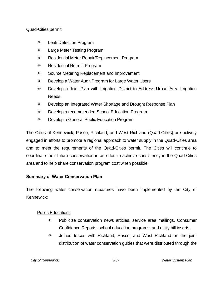Quad-Cities permit:

- Leak Detection Program
- Large Meter Testing Program
- Residential Meter Repair/Replacement Program
- Residential Retrofit Program
- Source Metering Replacement and Improvement
- Develop a Water Audit Program for Large Water Users
- Develop a Joint Plan with Irrigation District to Address Urban Area Irrigation **Needs**
- Develop an Integrated Water Shortage and Drought Response Plan
- Develop a recommended School Education Program
- Develop a General Public Education Program

The Cities of Kennewick, Pasco, Richland, and West Richland (Quad-Cities) are actively engaged in efforts to promote a regional approach to water supply in the Quad-Cities area and to meet the requirements of the Quad-Cities permit. The Cities will continue to coordinate their future conservation in an effort to achieve consistency in the Quad-Cities area and to help share conservation program cost when possible.

# **Summary of Water Conservation Plan**

The following water conservation measures have been implemented by the City of Kennewick:

# Public Education:

- Publicize conservation news articles, service area mailings, Consumer Confidence Reports, school education programs, and utility bill inserts.
- Joined forces with Richland, Pasco, and West Richland on the joint distribution of water conservation guides that were distributed through the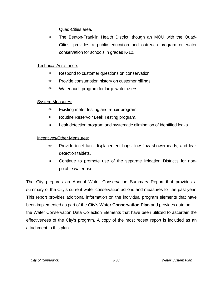Quad-Cities area.

 The Benton-Franklin Health District, though an MOU with the Quad-Cities, provides a public education and outreach program on water conservation for schools in grades K-12.

#### Technical Assistance:

- **EXECUTE:** Respond to customer questions on conservation.
- **EXECUTE:** Provide consumption history on customer billings.
- **\*** Water audit program for large water users.

# System Measures:

- **Existing meter testing and repair program.**
- **KROUT ASSERVIER CHARGIST RESERVIER AT A READ FOCULT AT A READ FIGURE**
- Leak detection program and systematic elimination of identified leaks.

#### Incentives/Other Measures:

- Provide toilet tank displacement bags, low flow showerheads, and leak detection tablets.
- Continue to promote use of the separate Irrigation District's for nonpotable water use.

The City prepares an Annual Water Conservation Summary Report that provides a summary of the City's current water conservation actions and measures for the past year. This report provides additional information on the individual program elements that have been implemented as part of the City's **Water Conservation Plan** and provides data on the Water Conservation Data Collection Elements that have been utilized to ascertain the effectiveness of the City's program. A copy of the most recent report is included as an attachment to this plan.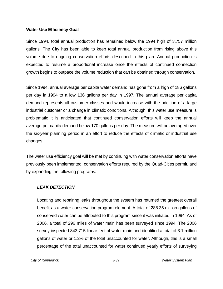#### **Water Use Efficiency Goal**

Since 1994, total annual production has remained below the 1994 high of 3,757 million gallons. The City has been able to keep total annual production from rising above this volume due to ongoing conservation efforts described in this plan. Annual production is expected to resume a proportional increase once the effects of continued connection growth begins to outpace the volume reduction that can be obtained through conservation.

Since 1994, annual average per capita water demand has gone from a high of 186 gallons per day in 1994 to a low 136 gallons per day in 1997. The annual average per capita demand represents all customer classes and would increase with the addition of a large industrial customer or a change in climatic conditions. Although, this water use measure is problematic it is anticipated that continued conservation efforts will keep the annual average per capita demand below 170 gallons per day. The measure will be averaged over the six-year planning period in an effort to reduce the effects of climatic or industrial use changes.

The water use efficiency goal will be met by continuing with water conservation efforts have previously been implemented, conservation efforts required by the Quad-Cities permit, and by expanding the following programs:

#### *LEAK DETECTION*

Locating and repairing leaks throughout the system has returned the greatest overall benefit as a water conservation program element. A total of 288.35 million gallons of conserved water can be attributed to this program since it was initiated in 1994. As of 2006, a total of 296 miles of water main has been surveyed since 1994. The 2006 survey inspected 343,715 linear feet of water main and identified a total of 3.1 million gallons of water or 1.2% of the total unaccounted for water. Although, this is a small percentage of the total unaccounted for water continued yearly efforts of surveying

*City of Kennewick 3-39 Water System Plan*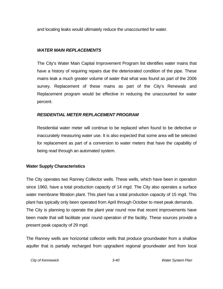and locating leaks would ultimately reduce the unaccounted for water.

#### *WATER MAIN REPLACEMENTS*

The City's Water Main Capital Improvement Program list identifies water mains that have a history of requiring repairs due the deteriorated condition of the pipe. These mains leak a much greater volume of water that what was found as part of the 2006 survey. Replacement of these mains as part of the City's Renewals and Replacement program would be effective in reducing the unaccounted for water percent.

#### *RESIDENTIAL METER REPLACEMENT PROGRAM*

Residential water meter will continue to be replaced when found to be defective or inaccurately measuring water use. It is also expected that some area will be selected for replacement as part of a conversion to water meters that have the capability of being read through an automated system.

#### **Water Supply Characteristics**

The City operates two Ranney Collector wells. These wells, which have been in operation since 1960, have a total production capacity of 14 mgd. The City also operates a surface water membrane filtration plant. This plant has a total production capacity of 15 mgd. This plant has typically only been operated from April through October to meet peak demands. The City is planning to operate the plant year round now that recent improvements have been made that will facilitate year round operation of the facility. These sources provide a present peak capacity of 29 mgd.

The Ranney wells are horizontal collector wells that produce groundwater from a shallow aquifer that is partially recharged from upgradient regional groundwater and from local